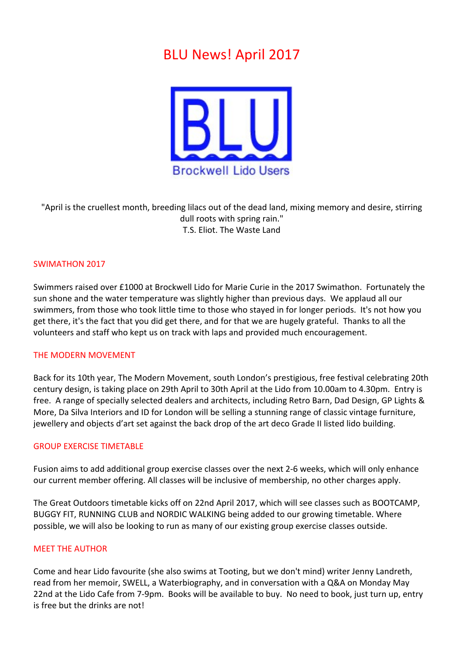# **BLU News! April 2017**



"April is the cruellest month, breeding lilacs out of the dead land, mixing memory and desire, stirring dull roots with spring rain." T.S. Eliot. The Waste Land

# SWIMATHON 2017

Swimmers raised over £1000 at Brockwell Lido for Marie Curie in the 2017 Swimathon. Fortunately the sun shone and the water temperature was slightly higher than previous days. We applaud all our swimmers, from those who took little time to those who stayed in for longer periods. It's not how you get there, it's the fact that you did get there, and for that we are hugely grateful. Thanks to all the volunteers and staff who kept us on track with laps and provided much encouragement.

### THE MODERN MOVEMENT

Back for its 10th year, The Modern Movement, south London's prestigious, free festival celebrating 20th century design, is taking place on 29th April to 30th April at the Lido from 10.00am to 4.30pm. Entry is free. A range of specially selected dealers and architects, including Retro Barn, Dad Design, GP Lights & More, Da Silva Interiors and ID for London will be selling a stunning range of classic vintage furniture, jewellery and objects d'art set against the back drop of the art deco Grade II listed lido building.

### **GROUP EXERCISE TIMETABLE**

Fusion aims to add additional group exercise classes over the next 2-6 weeks, which will only enhance our current member offering. All classes will be inclusive of membership, no other charges apply.

The Great Outdoors timetable kicks off on 22nd April 2017, which will see classes such as BOOTCAMP, BUGGY FIT, RUNNING CLUB and NORDIC WALKING being added to our growing timetable. Where possible, we will also be looking to run as many of our existing group exercise classes outside.

## **MEET THE AUTHOR**

Come and hear Lido favourite (she also swims at Tooting, but we don't mind) writer Jenny Landreth, read from her memoir, SWELL, a Waterbiography, and in conversation with a Q&A on Monday May 22nd at the Lido Cafe from 7-9pm. Books will be available to buy. No need to book, just turn up, entry is free but the drinks are not!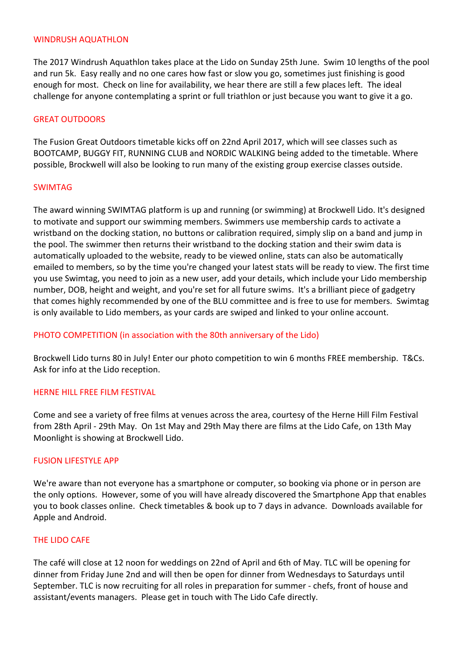## WINDRUSH AOUATHLON

The 2017 Windrush Aquathlon takes place at the Lido on Sunday 25th June. Swim 10 lengths of the pool and run 5k. Easy really and no one cares how fast or slow you go, sometimes just finishing is good enough for most. Check on line for availability, we hear there are still a few places left. The ideal challenge for anyone contemplating a sprint or full triathlon or just because you want to give it a go.

## **GREAT OUTDOORS**

The Fusion Great Outdoors timetable kicks off on 22nd April 2017, which will see classes such as BOOTCAMP, BUGGY FIT, RUNNING CLUB and NORDIC WALKING being added to the timetable. Where possible, Brockwell will also be looking to run many of the existing group exercise classes outside.

## SWIMTAG

The award winning SWIMTAG platform is up and running (or swimming) at Brockwell Lido. It's designed to motivate and support our swimming members. Swimmers use membership cards to activate a wristband on the docking station, no buttons or calibration required, simply slip on a band and jump in the pool. The swimmer then returns their wristband to the docking station and their swim data is automatically uploaded to the website, ready to be viewed online, stats can also be automatically emailed to members, so by the time you're changed your latest stats will be ready to view. The first time you use Swimtag, you need to join as a new user, add your details, which include your Lido membership number, DOB, height and weight, and you're set for all future swims. It's a brilliant piece of gadgetry that comes highly recommended by one of the BLU committee and is free to use for members. Swimtag is only available to Lido members, as your cards are swiped and linked to your online account.

# PHOTO COMPETITION (in association with the 80th anniversary of the Lido)

Brockwell Lido turns 80 in July! Enter our photo competition to win 6 months FREE membership. T&Cs. Ask for info at the Lido reception.

# HERNE HILL FREE FILM FESTIVAL

Come and see a variety of free films at venues across the area, courtesy of the Herne Hill Film Festival from 28th April - 29th May. On 1st May and 29th May there are films at the Lido Cafe, on 13th May Moonlight is showing at Brockwell Lido.

# **FUSION LIFESTYLE APP**

We're aware than not everyone has a smartphone or computer, so booking via phone or in person are the only options. However, some of you will have already discovered the Smartphone App that enables you to book classes online. Check timetables & book up to 7 days in advance. Downloads available for Apple and Android.

# **THE LIDO CAFE**

The café will close at 12 noon for weddings on 22nd of April and 6th of May. TLC will be opening for dinner from Friday June 2nd and will then be open for dinner from Wednesdays to Saturdays until September. TLC is now recruiting for all roles in preparation for summer - chefs, front of house and assistant/events managers. Please get in touch with The Lido Cafe directly.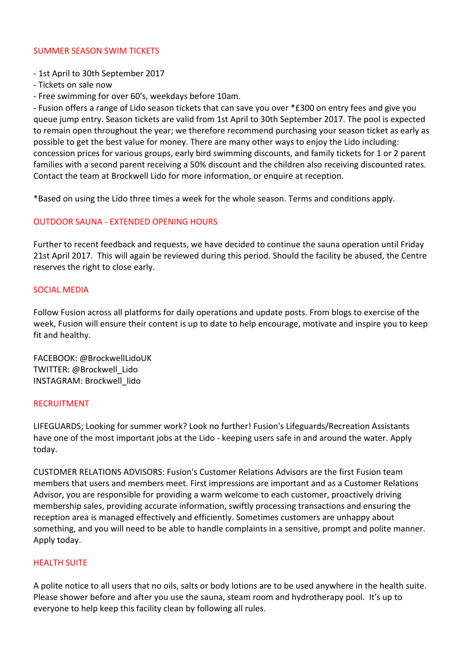# SUMMER SEASON SWIM TICKETS

- 1st April to 30th September 2017
- Tickets on sale now
- Free swimming for over 60's, weekdays before 10am.

- Fusion offers a range of Lido season tickets that can save you over \*£300 on entry fees and give you queue jump entry. Season tickets are valid from 1st April to 30th September 2017. The pool is expected to remain open throughout the year; we therefore recommend purchasing your season ticket as early as possible to get the best value for money. There are many other ways to enjoy the Lido including: concession prices for various groups, early bird swimming discounts, and family tickets for 1 or 2 parent families with a second parent receiving a 50% discount and the children also receiving discounted rates. Contact the team at Brockwell Lido for more information, or enquire at reception.

\*Based on using the Lido three times a week for the whole season. Terms and conditions apply.

# **OUTDOOR SAUNA - EXTENDED OPENING HOURS**

Further to recent feedback and requests, we have decided to continue the sauna operation until Friday 21st April 2017. This will again be reviewed during this period. Should the facility be abused, the Centre reserves the right to close early.

# **SOCIAL MEDIA**

Follow Fusion across all platforms for daily operations and update posts. From blogs to exercise of the week, Fusion will ensure their content is up to date to help encourage, motivate and inspire you to keep fit and healthy.

FACEBOOK: @BrockwellLidoUK TWITTER: @Brockwell\_Lido INSTAGRAM: Brockwell\_lido

# RECRUITMENT

LIFEGUARDS; Looking for summer work? Look no further! Fusion's Lifeguards/Recreation Assistants have one of the most important jobs at the Lido - keeping users safe in and around the water. Apply today.

CUSTOMER RELATIONS ADVISORS: Fusion's Customer Relations Advisors are the first Fusion team members that users and members meet. First impressions are important and as a Customer Relations Advisor, you are responsible for providing a warm welcome to each customer, proactively driving membership sales, providing accurate information, swiftly processing transactions and ensuring the reception area is managed effectively and efficiently. Sometimes customers are unhappy about something, and you will need to be able to handle complaints in a sensitive, prompt and polite manner. Apply today.

# **HEALTH SUITE**

A polite notice to all users that no oils, salts or body lotions are to be used anywhere in the health suite. Please shower before and after you use the sauna, steam room and hydrotherapy pool. It's up to everyone to help keep this facility clean by following all rules.